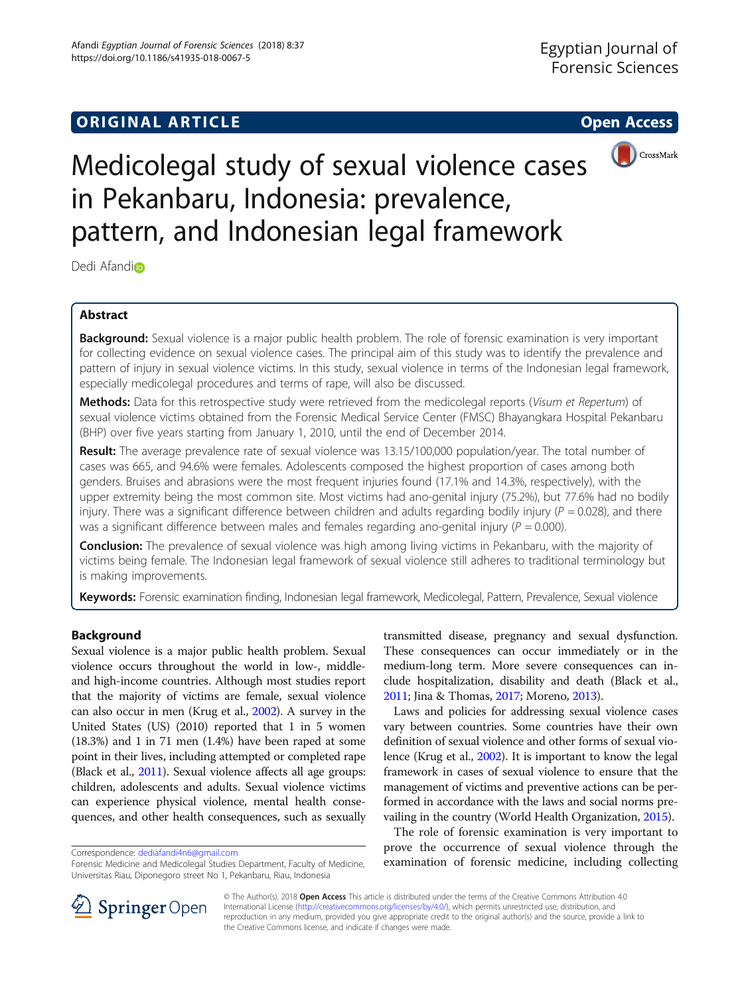

## Medicolegal study of sexual violence cases in Pekanbaru, Indonesia: prevalence, pattern, and Indonesian legal framework

Ded[i](http://orcid.org/0000-0001-7016-0008) Afandi<sup>o</sup>

#### Abstract

**Background:** Sexual violence is a major public health problem. The role of forensic examination is very important for collecting evidence on sexual violence cases. The principal aim of this study was to identify the prevalence and pattern of injury in sexual violence victims. In this study, sexual violence in terms of the Indonesian legal framework, especially medicolegal procedures and terms of rape, will also be discussed.

Methods: Data for this retrospective study were retrieved from the medicolegal reports (Visum et Repertum) of sexual violence victims obtained from the Forensic Medical Service Center (FMSC) Bhayangkara Hospital Pekanbaru (BHP) over five years starting from January 1, 2010, until the end of December 2014.

Result: The average prevalence rate of sexual violence was 13.15/100,000 population/year. The total number of cases was 665, and 94.6% were females. Adolescents composed the highest proportion of cases among both genders. Bruises and abrasions were the most frequent injuries found (17.1% and 14.3%, respectively), with the upper extremity being the most common site. Most victims had ano-genital injury (75.2%), but 77.6% had no bodily injury. There was a significant difference between children and adults regarding bodily injury ( $P = 0.028$ ), and there was a significant difference between males and females regarding ano-genital injury ( $P = 0.000$ ).

**Conclusion:** The prevalence of sexual violence was high among living victims in Pekanbaru, with the majority of victims being female. The Indonesian legal framework of sexual violence still adheres to traditional terminology but is making improvements.

Keywords: Forensic examination finding, Indonesian legal framework, Medicolegal, Pattern, Prevalence, Sexual violence

#### Background

Sexual violence is a major public health problem. Sexual violence occurs throughout the world in low-, middleand high-income countries. Although most studies report that the majority of victims are female, sexual violence can also occur in men (Krug et al., [2002\)](#page-9-0). A survey in the United States (US) (2010) reported that 1 in 5 women (18.3%) and 1 in 71 men (1.4%) have been raped at some point in their lives, including attempted or completed rape (Black et al., [2011](#page-8-0)). Sexual violence affects all age groups: children, adolescents and adults. Sexual violence victims can experience physical violence, mental health consequences, and other health consequences, such as sexually

Forensic Medicine and Medicolegal Studies Department, Faculty of Medicine, Universitas Riau, Diponegoro street No 1, Pekanbaru, Riau, Indonesia

transmitted disease, pregnancy and sexual dysfunction. These consequences can occur immediately or in the medium-long term. More severe consequences can include hospitalization, disability and death (Black et al., [2011](#page-8-0); Jina & Thomas, [2017](#page-9-0); Moreno, [2013](#page-9-0)).

Laws and policies for addressing sexual violence cases vary between countries. Some countries have their own definition of sexual violence and other forms of sexual violence (Krug et al., [2002](#page-9-0)). It is important to know the legal framework in cases of sexual violence to ensure that the management of victims and preventive actions can be performed in accordance with the laws and social norms prevailing in the country (World Health Organization, [2015](#page-9-0)).

The role of forensic examination is very important to prove the occurrence of sexual violence through the examination of the occurrence of sexual violence diffusion of forensic medicine, including collecting Correspondence: [dediafandi4n6@gmail.com](mailto:dediafandi4n6@gmail.com)<br>Forensic Medicine and Medicolegal Studies Department, Faculty of Medicine, exami



© The Author(s). 2018 Open Access This article is distributed under the terms of the Creative Commons Attribution 4.0 International License ([http://creativecommons.org/licenses/by/4.0/\)](http://creativecommons.org/licenses/by/4.0/), which permits unrestricted use, distribution, and reproduction in any medium, provided you give appropriate credit to the original author(s) and the source, provide a link to the Creative Commons license, and indicate if changes were made.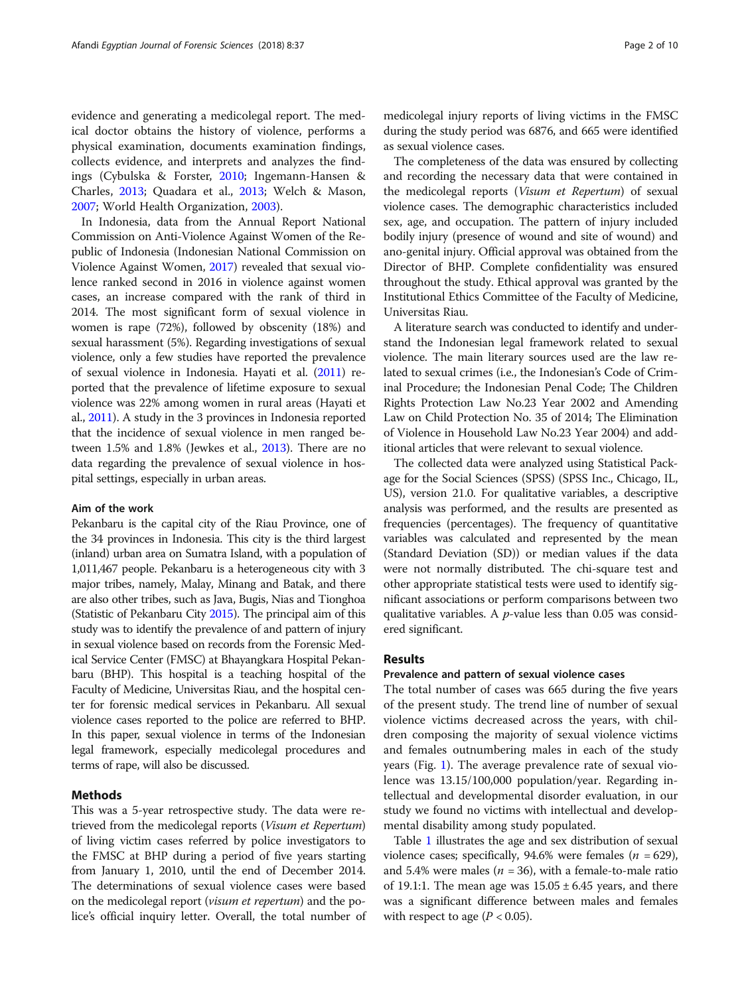evidence and generating a medicolegal report. The medical doctor obtains the history of violence, performs a physical examination, documents examination findings, collects evidence, and interprets and analyzes the findings (Cybulska & Forster, [2010;](#page-8-0) Ingemann-Hansen & Charles, [2013](#page-9-0); Quadara et al., [2013;](#page-9-0) Welch & Mason, [2007](#page-9-0); World Health Organization, [2003](#page-9-0)).

In Indonesia, data from the Annual Report National Commission on Anti-Violence Against Women of the Republic of Indonesia (Indonesian National Commission on Violence Against Women, [2017\)](#page-8-0) revealed that sexual violence ranked second in 2016 in violence against women cases, an increase compared with the rank of third in 2014. The most significant form of sexual violence in women is rape (72%), followed by obscenity (18%) and sexual harassment (5%). Regarding investigations of sexual violence, only a few studies have reported the prevalence of sexual violence in Indonesia. Hayati et al. [\(2011](#page-8-0)) reported that the prevalence of lifetime exposure to sexual violence was 22% among women in rural areas (Hayati et al., [2011](#page-8-0)). A study in the 3 provinces in Indonesia reported that the incidence of sexual violence in men ranged between 1.5% and 1.8% (Jewkes et al., [2013](#page-9-0)). There are no data regarding the prevalence of sexual violence in hospital settings, especially in urban areas.

#### Aim of the work

Pekanbaru is the capital city of the Riau Province, one of the 34 provinces in Indonesia. This city is the third largest (inland) urban area on Sumatra Island, with a population of 1,011,467 people. Pekanbaru is a heterogeneous city with 3 major tribes, namely, Malay, Minang and Batak, and there are also other tribes, such as Java, Bugis, Nias and Tionghoa (Statistic of Pekanbaru City [2015](#page-9-0)). The principal aim of this study was to identify the prevalence of and pattern of injury in sexual violence based on records from the Forensic Medical Service Center (FMSC) at Bhayangkara Hospital Pekanbaru (BHP). This hospital is a teaching hospital of the Faculty of Medicine, Universitas Riau, and the hospital center for forensic medical services in Pekanbaru. All sexual violence cases reported to the police are referred to BHP. In this paper, sexual violence in terms of the Indonesian legal framework, especially medicolegal procedures and terms of rape, will also be discussed.

#### Methods

This was a 5-year retrospective study. The data were retrieved from the medicolegal reports (Visum et Repertum) of living victim cases referred by police investigators to the FMSC at BHP during a period of five years starting from January 1, 2010, until the end of December 2014. The determinations of sexual violence cases were based on the medicolegal report (visum et repertum) and the police's official inquiry letter. Overall, the total number of

medicolegal injury reports of living victims in the FMSC during the study period was 6876, and 665 were identified as sexual violence cases.

The completeness of the data was ensured by collecting and recording the necessary data that were contained in the medicolegal reports (Visum et Repertum) of sexual violence cases. The demographic characteristics included sex, age, and occupation. The pattern of injury included bodily injury (presence of wound and site of wound) and ano-genital injury. Official approval was obtained from the Director of BHP. Complete confidentiality was ensured throughout the study. Ethical approval was granted by the Institutional Ethics Committee of the Faculty of Medicine, Universitas Riau.

A literature search was conducted to identify and understand the Indonesian legal framework related to sexual violence. The main literary sources used are the law related to sexual crimes (i.e., the Indonesian's Code of Criminal Procedure; the Indonesian Penal Code; The Children Rights Protection Law No.23 Year 2002 and Amending Law on Child Protection No. 35 of 2014; The Elimination of Violence in Household Law No.23 Year 2004) and additional articles that were relevant to sexual violence.

The collected data were analyzed using Statistical Package for the Social Sciences (SPSS) (SPSS Inc., Chicago, IL, US), version 21.0. For qualitative variables, a descriptive analysis was performed, and the results are presented as frequencies (percentages). The frequency of quantitative variables was calculated and represented by the mean (Standard Deviation (SD)) or median values if the data were not normally distributed. The chi-square test and other appropriate statistical tests were used to identify significant associations or perform comparisons between two qualitative variables. A  $p$ -value less than 0.05 was considered significant.

#### Results

#### Prevalence and pattern of sexual violence cases

The total number of cases was 665 during the five years of the present study. The trend line of number of sexual violence victims decreased across the years, with children composing the majority of sexual violence victims and females outnumbering males in each of the study years (Fig. [1\)](#page-2-0). The average prevalence rate of sexual violence was 13.15/100,000 population/year. Regarding intellectual and developmental disorder evaluation, in our study we found no victims with intellectual and developmental disability among study populated.

Table [1](#page-2-0) illustrates the age and sex distribution of sexual violence cases; specifically, 94.6% were females ( $n = 629$ ), and 5.4% were males ( $n = 36$ ), with a female-to-male ratio of 19.1:1. The mean age was  $15.05 \pm 6.45$  years, and there was a significant difference between males and females with respect to age  $(P < 0.05)$ .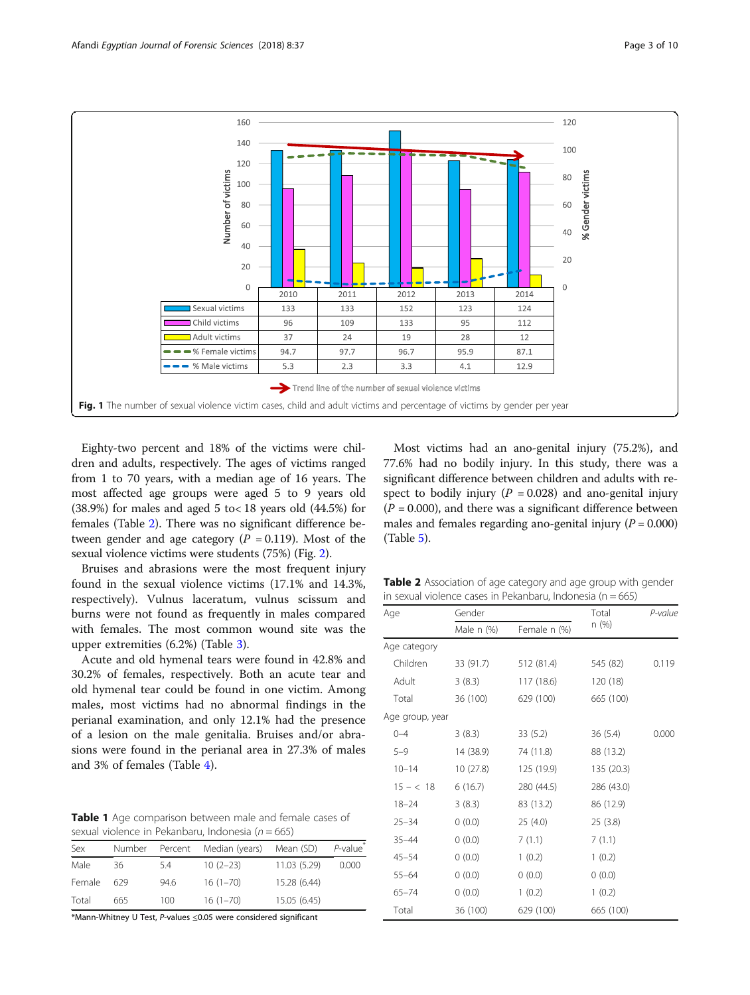<span id="page-2-0"></span>

Eighty-two percent and 18% of the victims were children and adults, respectively. The ages of victims ranged from 1 to 70 years, with a median age of 16 years. The most affected age groups were aged 5 to 9 years old (38.9%) for males and aged 5 to< 18 years old (44.5%) for females (Table 2). There was no significant difference between gender and age category ( $P = 0.119$ ). Most of the sexual violence victims were students (75%) (Fig. [2](#page-3-0)).

Bruises and abrasions were the most frequent injury found in the sexual violence victims (17.1% and 14.3%, respectively). Vulnus laceratum, vulnus scissum and burns were not found as frequently in males compared with females. The most common wound site was the upper extremities (6.2%) (Table [3\)](#page-3-0).

Acute and old hymenal tears were found in 42.8% and 30.2% of females, respectively. Both an acute tear and old hymenal tear could be found in one victim. Among males, most victims had no abnormal findings in the perianal examination, and only 12.1% had the presence of a lesion on the male genitalia. Bruises and/or abrasions were found in the perianal area in 27.3% of males and 3% of females (Table [4](#page-3-0)).

Table 1 Age comparison between male and female cases of sexual violence in Pekanbaru, Indonesia ( $n = 665$ )

| Sex    | Number | Percent | Median (years) | Mean (SD)    | $P$ -value <sup>*</sup> |
|--------|--------|---------|----------------|--------------|-------------------------|
| Male   | 36     | 5.4     | $10(2-23)$     | 11.03 (5.29) | 0.000                   |
| Female | 629    | 94.6    | $16(1 - 70)$   | 15.28 (6.44) |                         |
| Total  | 665    | 100     | $16(1 - 70)$   | 15.05(6.45)  |                         |

\*Mann-Whitney U Test, P-values <sup>≤</sup>0.05 were considered significant

Most victims had an ano-genital injury (75.2%), and 77.6% had no bodily injury. In this study, there was a significant difference between children and adults with respect to bodily injury ( $P = 0.028$ ) and ano-genital injury  $(P = 0.000)$ , and there was a significant difference between males and females regarding ano-genital injury ( $P = 0.000$ ) (Table [5\)](#page-4-0).

Table 2 Association of age category and age group with gender in sexual violence cases in Pekanbaru, Indonesia ( $n = 665$ )

| Age             | Gender          |              | Total      | P-value |
|-----------------|-----------------|--------------|------------|---------|
|                 | Male $n$ $(\%)$ | Female n (%) | n (%)      |         |
| Age category    |                 |              |            |         |
| Children        | 33 (91.7)       | 512 (81.4)   | 545 (82)   | 0.119   |
| Adult           | 3(8.3)          | 117 (18.6)   | 120 (18)   |         |
| Total           | 36 (100)        | 629 (100)    | 665 (100)  |         |
| Age group, year |                 |              |            |         |
| $0 - 4$         | 3(8.3)          | 33(5.2)      | 36(5.4)    | 0.000   |
| $5 - 9$         | 14 (38.9)       | 74 (11.8)    | 88 (13.2)  |         |
| $10 - 14$       | 10(27.8)        | 125 (19.9)   | 135 (20.3) |         |
| $15 - < 18$     | 6(16.7)         | 280 (44.5)   | 286 (43.0) |         |
| $18 - 24$       | 3(8.3)          | 83 (13.2)    | 86 (12.9)  |         |
| $25 - 34$       | 0(0.0)          | 25(4.0)      | 25(3.8)    |         |
| $35 - 44$       | 0(0.0)          | 7(1.1)       | 7(1.1)     |         |
| $45 - 54$       | 0(0.0)          | 1(0.2)       | 1(0.2)     |         |
| $55 - 64$       | 0(0.0)          | 0(0.0)       | 0(0.0)     |         |
| $65 - 74$       | 0(0.0)          | 1(0.2)       | 1(0.2)     |         |
| Total           | 36 (100)        | 629 (100)    | 665 (100)  |         |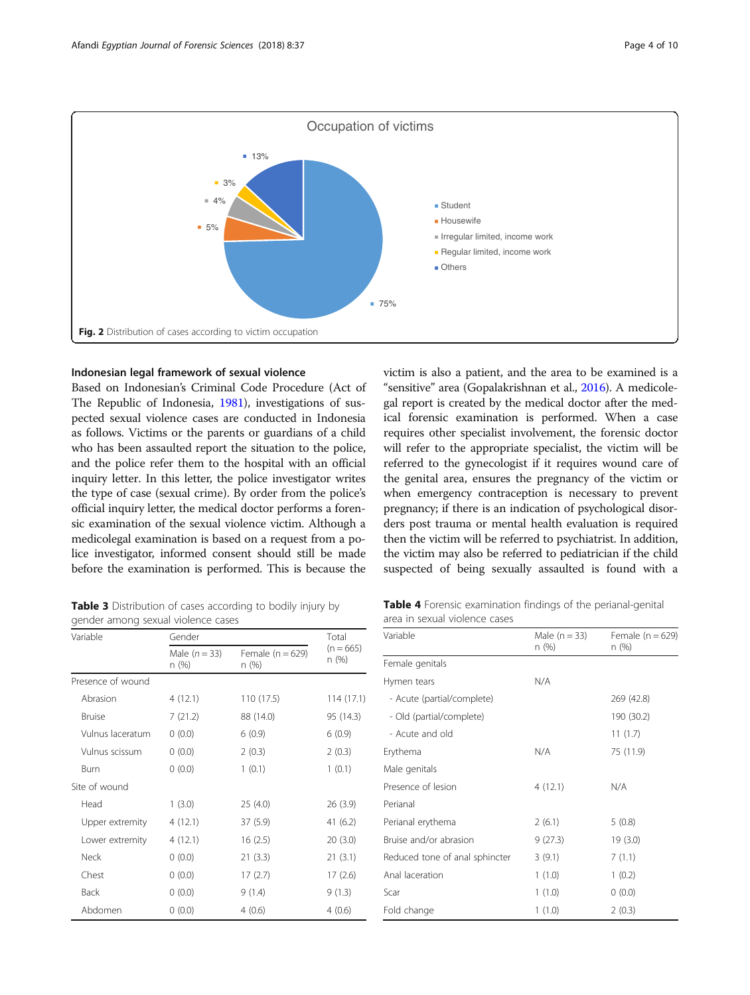<span id="page-3-0"></span>

#### Indonesian legal framework of sexual violence

Based on Indonesian's Criminal Code Procedure (Act of The Republic of Indonesia, [1981\)](#page-8-0), investigations of suspected sexual violence cases are conducted in Indonesia as follows. Victims or the parents or guardians of a child who has been assaulted report the situation to the police, and the police refer them to the hospital with an official inquiry letter. In this letter, the police investigator writes the type of case (sexual crime). By order from the police's official inquiry letter, the medical doctor performs a forensic examination of the sexual violence victim. Although a medicolegal examination is based on a request from a police investigator, informed consent should still be made before the examination is performed. This is because the

Table 3 Distribution of cases according to bodily injury by gender among sexual violence cases

| Variable          | Gender                   |                               | Total                |
|-------------------|--------------------------|-------------------------------|----------------------|
|                   | Male $(n = 33)$<br>n (%) | Female ( $n = 629$ )<br>n (%) | $(n = 665)$<br>n (%) |
| Presence of wound |                          |                               |                      |
| Abrasion          | 4 (12.1)                 | 110 (17.5)                    | 114(17.1)            |
| <b>Bruise</b>     | 7(21.2)                  | 88 (14.0)                     | 95 (14.3)            |
| Vulnus laceratum  | 0(0.0)                   | 6(0.9)                        | 6(0.9)               |
| Vulnus scissum    | 0(0.0)                   | 2(0.3)                        | 2(0.3)               |
| <b>Burn</b>       | 0(0.0)                   | 1(0.1)                        | 1(0.1)               |
| Site of wound     |                          |                               |                      |
| Head              | 1(3.0)                   | 25(4.0)                       | 26(3.9)              |
| Upper extremity   | 4(12.1)                  | 37(5.9)                       | 41(6.2)              |
| Lower extremity   | 4(12.1)                  | 16(2.5)                       | 20(3.0)              |
| Neck              | 0(0.0)                   | 21(3.3)                       | 21(3.1)              |
| Chest             | 0(0.0)                   | 17(2.7)                       | 17(2.6)              |
| <b>Back</b>       | 0(0.0)                   | 9(1.4)                        | 9(1.3)               |
| Abdomen           | 0(0.0)                   | 4(0.6)                        | 4(0.6)               |

victim is also a patient, and the area to be examined is a "sensitive" area (Gopalakrishnan et al., [2016\)](#page-8-0). A medicolegal report is created by the medical doctor after the medical forensic examination is performed. When a case requires other specialist involvement, the forensic doctor will refer to the appropriate specialist, the victim will be referred to the gynecologist if it requires wound care of the genital area, ensures the pregnancy of the victim or when emergency contraception is necessary to prevent pregnancy; if there is an indication of psychological disorders post trauma or mental health evaluation is required then the victim will be referred to psychiatrist. In addition, the victim may also be referred to pediatrician if the child suspected of being sexually assaulted is found with a

Table 4 Forensic examination findings of the perianal-genital area in sexual violence cases

| Variable                       | Male $(n = 33)$<br>n (%) | Female $(n = 629)$<br>n (%) |
|--------------------------------|--------------------------|-----------------------------|
| Female genitals                |                          |                             |
| Hymen tears                    | N/A                      |                             |
| - Acute (partial/complete)     |                          | 269 (42.8)                  |
| - Old (partial/complete)       |                          | 190 (30.2)                  |
| - Acute and old                |                          | 11(1.7)                     |
| Erythema                       | N/A                      | 75 (11.9)                   |
| Male genitals                  |                          |                             |
| Presence of lesion             | 4(12.1)                  | N/A                         |
| Perianal                       |                          |                             |
| Perianal erythema              | 2(6.1)                   | 5(0.8)                      |
| Bruise and/or abrasion         | 9(27.3)                  | 19(3.0)                     |
| Reduced tone of anal sphincter | 3(9.1)                   | 7(1.1)                      |
| Anal laceration                | 1(1.0)                   | 1(0.2)                      |
| Scar                           | 1(1.0)                   | 0(0.0)                      |
| Fold change                    | 1(1.0)                   | 2(0.3)                      |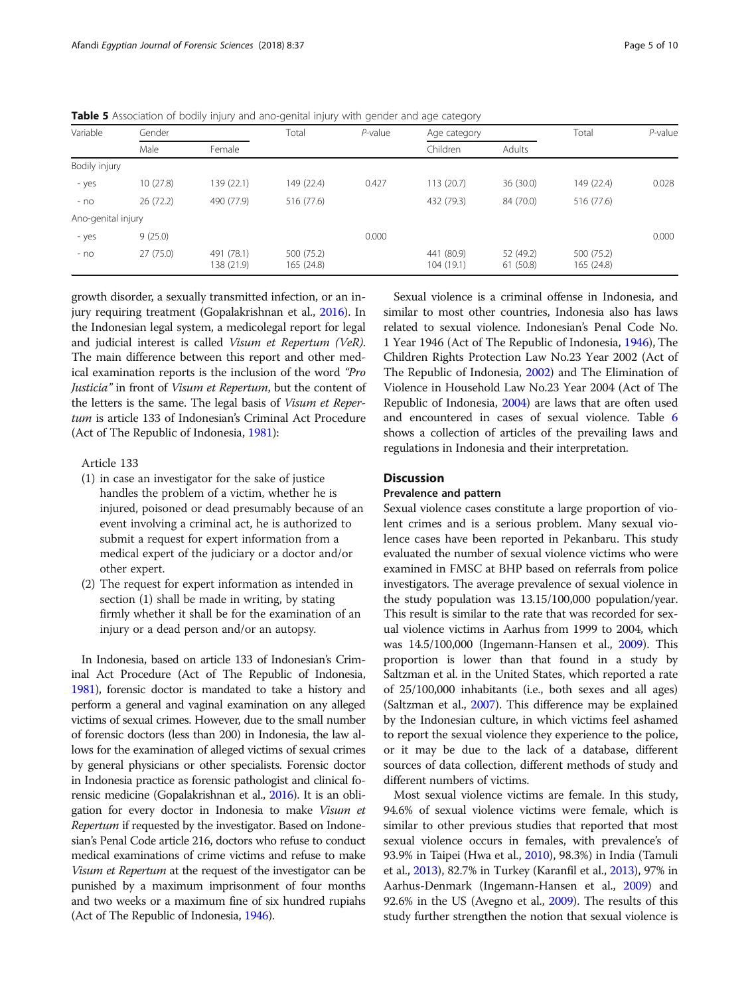|                    |          |                          | $\tilde{}$<br>$\overline{\phantom{a}}$ | $\tilde{}$ | $\tilde{}$<br><u>_</u>   |                       |                          |            |
|--------------------|----------|--------------------------|----------------------------------------|------------|--------------------------|-----------------------|--------------------------|------------|
| Variable           | Gender   |                          | Total                                  | $P$ -value | Age category             |                       | Total                    | $P$ -value |
|                    | Male     | Female                   |                                        |            | Children                 | Adults                |                          |            |
| Bodily injury      |          |                          |                                        |            |                          |                       |                          |            |
| - yes              | 10(27.8) | 139 (22.1)               | 149 (22.4)                             | 0.427      | 113(20.7)                | 36 (30.0)             | 149 (22.4)               | 0.028      |
| - no               | 26(72.2) | 490 (77.9)               | 516 (77.6)                             |            | 432 (79.3)               | 84 (70.0)             | 516 (77.6)               |            |
| Ano-genital injury |          |                          |                                        |            |                          |                       |                          |            |
| - yes              | 9(25.0)  |                          |                                        | 0.000      |                          |                       |                          | 0.000      |
| - no               | 27(75.0) | 491 (78.1)<br>138 (21.9) | 500 (75.2)<br>165 (24.8)               |            | 441 (80.9)<br>104 (19.1) | 52 (49.2)<br>61(50.8) | 500 (75.2)<br>165 (24.8) |            |

<span id="page-4-0"></span>Table 5 Association of bodily injury and ano-genital injury with gender and age category

growth disorder, a sexually transmitted infection, or an injury requiring treatment (Gopalakrishnan et al., [2016](#page-8-0)). In the Indonesian legal system, a medicolegal report for legal and judicial interest is called Visum et Repertum (VeR). The main difference between this report and other medical examination reports is the inclusion of the word "Pro Justicia" in front of Visum et Repertum, but the content of the letters is the same. The legal basis of Visum et Repertum is article 133 of Indonesian's Criminal Act Procedure (Act of The Republic of Indonesia, [1981](#page-8-0)):

#### Article 133

- (1) in case an investigator for the sake of justice handles the problem of a victim, whether he is injured, poisoned or dead presumably because of an event involving a criminal act, he is authorized to submit a request for expert information from a medical expert of the judiciary or a doctor and/or other expert.
- (2) The request for expert information as intended in section (1) shall be made in writing, by stating firmly whether it shall be for the examination of an injury or a dead person and/or an autopsy.

In Indonesia, based on article 133 of Indonesian's Criminal Act Procedure (Act of The Republic of Indonesia, [1981\)](#page-8-0), forensic doctor is mandated to take a history and perform a general and vaginal examination on any alleged victims of sexual crimes. However, due to the small number of forensic doctors (less than 200) in Indonesia, the law allows for the examination of alleged victims of sexual crimes by general physicians or other specialists. Forensic doctor in Indonesia practice as forensic pathologist and clinical forensic medicine (Gopalakrishnan et al., [2016\)](#page-8-0). It is an obligation for every doctor in Indonesia to make Visum et Repertum if requested by the investigator. Based on Indonesian's Penal Code article 216, doctors who refuse to conduct medical examinations of crime victims and refuse to make Visum et Repertum at the request of the investigator can be punished by a maximum imprisonment of four months and two weeks or a maximum fine of six hundred rupiahs (Act of The Republic of Indonesia, [1946](#page-8-0)).

Sexual violence is a criminal offense in Indonesia, and similar to most other countries, Indonesia also has laws related to sexual violence. Indonesian's Penal Code No. 1 Year 1946 (Act of The Republic of Indonesia, [1946](#page-8-0)), The Children Rights Protection Law No.23 Year 2002 (Act of The Republic of Indonesia, [2002](#page-8-0)) and The Elimination of Violence in Household Law No.23 Year 2004 (Act of The Republic of Indonesia, [2004](#page-8-0)) are laws that are often used and encountered in cases of sexual violence. Table [6](#page-5-0) shows a collection of articles of the prevailing laws and regulations in Indonesia and their interpretation.

#### **Discussion**

#### Prevalence and pattern

Sexual violence cases constitute a large proportion of violent crimes and is a serious problem. Many sexual violence cases have been reported in Pekanbaru. This study evaluated the number of sexual violence victims who were examined in FMSC at BHP based on referrals from police investigators. The average prevalence of sexual violence in the study population was 13.15/100,000 population/year. This result is similar to the rate that was recorded for sexual violence victims in Aarhus from 1999 to 2004, which was 14.5/100,000 (Ingemann-Hansen et al., [2009\)](#page-9-0). This proportion is lower than that found in a study by Saltzman et al. in the United States, which reported a rate of 25/100,000 inhabitants (i.e., both sexes and all ages) (Saltzman et al., [2007](#page-9-0)). This difference may be explained by the Indonesian culture, in which victims feel ashamed to report the sexual violence they experience to the police, or it may be due to the lack of a database, different sources of data collection, different methods of study and different numbers of victims.

Most sexual violence victims are female. In this study, 94.6% of sexual violence victims were female, which is similar to other previous studies that reported that most sexual violence occurs in females, with prevalence's of 93.9% in Taipei (Hwa et al., [2010](#page-8-0)), 98.3%) in India (Tamuli et al., [2013\)](#page-9-0), 82.7% in Turkey (Karanfil et al., [2013\)](#page-9-0), 97% in Aarhus-Denmark (Ingemann-Hansen et al., [2009](#page-9-0)) and 92.6% in the US (Avegno et al., [2009](#page-8-0)). The results of this study further strengthen the notion that sexual violence is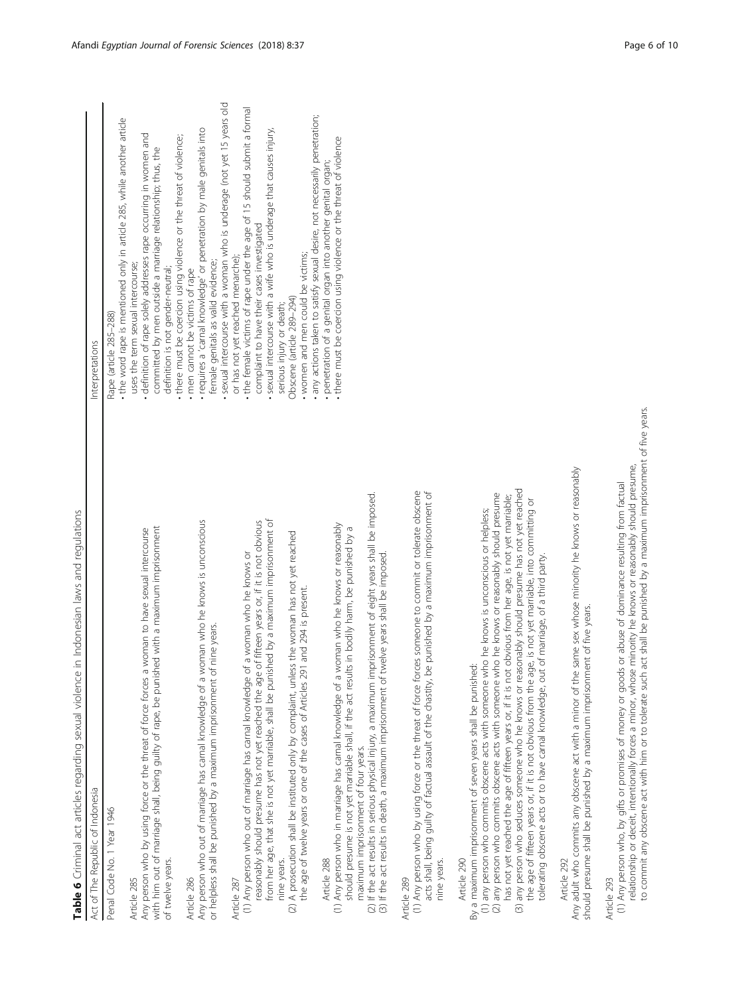<span id="page-5-0"></span>

| Table 6 Criminal act articles regarding sexual violence in Indonesian laws and regulations                                                                                                                                                                                                                                                                                                                                                                                                                                                                                                                                                                                                           |                                                                                                                                                                                                                                                                                        |
|------------------------------------------------------------------------------------------------------------------------------------------------------------------------------------------------------------------------------------------------------------------------------------------------------------------------------------------------------------------------------------------------------------------------------------------------------------------------------------------------------------------------------------------------------------------------------------------------------------------------------------------------------------------------------------------------------|----------------------------------------------------------------------------------------------------------------------------------------------------------------------------------------------------------------------------------------------------------------------------------------|
| Act of The Republic of Indonesia                                                                                                                                                                                                                                                                                                                                                                                                                                                                                                                                                                                                                                                                     | Interpretations                                                                                                                                                                                                                                                                        |
| Penal Code No. 1 Year 1946                                                                                                                                                                                                                                                                                                                                                                                                                                                                                                                                                                                                                                                                           | • the word rape is mentioned only in article 285, while another article<br>Rape (article 285-288)                                                                                                                                                                                      |
| with him out of marriage shall, being guilty of rape, be punished with a maximum imprisonment<br>Any person who by using force or the threat of force forces a woman to have sexual intercourse<br>of twelve years.<br>Article 285                                                                                                                                                                                                                                                                                                                                                                                                                                                                   | definition of rape solely addresses rape occurring in women and<br>committed by men outside a marriage relationship; thus, the<br>uses the term sexual intercourse;<br>definition is not gender-neutral;                                                                               |
| Any person who out of marriage has carnal knowledge of a woman who he knows is unconscious<br>nine years.<br>or helpless shall be punished by a maximum imprisonment of<br>Article 286                                                                                                                                                                                                                                                                                                                                                                                                                                                                                                               | sexual intercourse with a woman who is underage (not yet 15 years old<br>requires a 'carnal knowledge' or penetration by male genitals into<br>there must be coercion using violence or the threat of violence;<br>female genitals as valid evidence;<br>men cannot be victims of rape |
| from her age, that she is not yet marriable, shall be punished by a maximum imprisonment of<br>reasonably should presume has not yet reached the age of fifteen years or, if it is not obvious<br>(1) Any person who out of marriage has carnal knowledge of a woman who he knows or<br>Article 287                                                                                                                                                                                                                                                                                                                                                                                                  | the female victims of rape under the age of 15 should submit a formal<br>sexual intercourse with a wife who is underage that causes injury,<br>complaint to have their cases investigated<br>or has not yet reached menarche)                                                          |
| the woman has not yet reached<br>and 294 is present.<br>(2) A prosecution shall be instituted only by complaint, unless<br>the age of twelve years or one of the cases of Articles 291<br>nine years.                                                                                                                                                                                                                                                                                                                                                                                                                                                                                                | women and men could be victims;<br>Obscene (article 289-294)<br>serious injury or death;                                                                                                                                                                                               |
| (2) If the act results in serious physical injury, a maximum imprisonment of eight years shall be imposed<br>(1) Any person who in marriage has carnal knowledge of a woman who he knows or reasonably<br>in bodily harm, be punished by a<br>(3) If the act results in death, a maximum imprisonment of twelve years shall be imposed<br>should presume is not yet marriable shall, if the act results<br>maximum imprisonment of four years.<br>Article 288                                                                                                                                                                                                                                        | any actions taken to satisfy sexual desire, not necessarily penetration;<br>there must be coercion using violence or the threat of violence<br>penetration of a genital organ into another genital organ                                                                               |
| (1) Any person who by using force or the threat of force forces someone to commit or tolerate obscene<br>acts shall, being guilty of factual assault of the chastity, be punished by a maximum imprisonment of<br>nine years.<br>Article 289                                                                                                                                                                                                                                                                                                                                                                                                                                                         |                                                                                                                                                                                                                                                                                        |
| (3) any person who seduces someone who he knows or reasonably should presume has not yet reached<br>(2) any person who commits obscene acts with someone who he knows or reasonably should presume<br>has not yet reached the age of fifteen years or, if it is not obvious from her age, is not yet marriable;<br>the age of fifteen years or, if it is not obvious from the age, is not yet marriable, into committing or<br>(1) any person who commits obscene acts with someone who he knows is unconscious or helpless;<br>tolerating obscene acts or to have carnal knowledge, out of marriage, of a third party<br>By a maximum imprisonment of seven years shall be punished:<br>Article 290 |                                                                                                                                                                                                                                                                                        |
|                                                                                                                                                                                                                                                                                                                                                                                                                                                                                                                                                                                                                                                                                                      |                                                                                                                                                                                                                                                                                        |

# Article 292

Article 292<br>Any adult who commits any obscene act with a minor of the same sex whose minority he knows or reasonably<br>should presume shall be punished by a maximum imprisonment of five years. Any adult who commits any obscene act with a minor of the same sex whose minority he knows or reasonably should presume shall be punished by a maximum imprisonment of five years.

### Article 293 Article 293

(1) Any person who, by gifts or promises of money or goods or abuse of dominance resulting from factual<br>relationship or decelt, intentionally forces a minor, whose minority he knows or reasonably should presume,<br>to commit to commit any obscene act with him or to tolerate such act shall be punished by a maximum imprisonment of five years. relationship or deceit, intentionally forces a minor, whose minority he knows or reasonably should presume, (1) Any person who, by gifts or promises of money or goods or abuse of dominance resulting from factual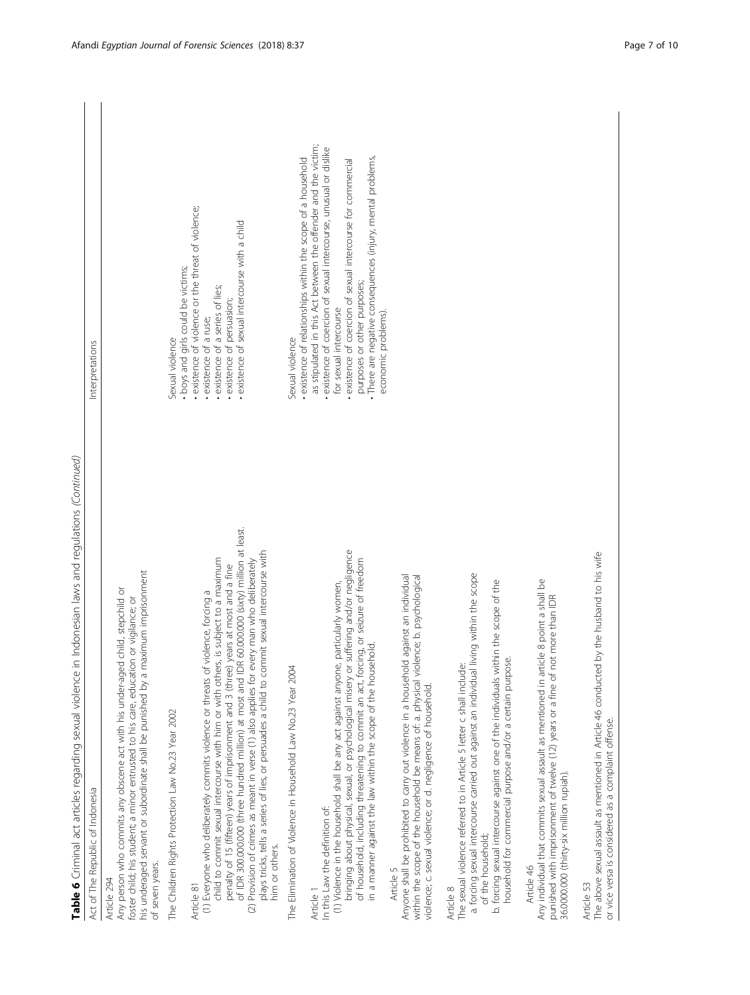| Act of The Republic of Indonesia                                                                                                                                                                                                                                                                                                                                                                                                                                                                                                                                                                              | Interpretations                                                                                                                                                                                                                                                                                                                                                                     |
|---------------------------------------------------------------------------------------------------------------------------------------------------------------------------------------------------------------------------------------------------------------------------------------------------------------------------------------------------------------------------------------------------------------------------------------------------------------------------------------------------------------------------------------------------------------------------------------------------------------|-------------------------------------------------------------------------------------------------------------------------------------------------------------------------------------------------------------------------------------------------------------------------------------------------------------------------------------------------------------------------------------|
| his underaged servant or subordinate shall be punished by a maximum imprisonment<br>Any person who commits any obscene act with his under-aged child, stepchild or<br>foster child; his student; a minor entrusted to his care, education or vigilance; or<br>of seven years.<br>Article 294                                                                                                                                                                                                                                                                                                                  |                                                                                                                                                                                                                                                                                                                                                                                     |
| The Children Rights Protection Law No.23 Year 2002                                                                                                                                                                                                                                                                                                                                                                                                                                                                                                                                                            | Sexual violence                                                                                                                                                                                                                                                                                                                                                                     |
| of IDR 300.000.000 (three hundred million) at most and IDR 60.000.000 (sixty) million at least.<br>plays tricks, tells a series of lies, or persuades a child to commit sexual intercourse with<br>child to commit sexual intercourse with him or with others, is subject to a maximum<br>Provision of crimes as meant in verse (1) also applies for every man who deliberately<br>penalty of 15 (fifteen) years of imprisonment and 3 (three) years at most and a fine<br>(1) Everyone who deliberately commits violence or threats of violence, forcing a<br>him or others.<br>Article 81<br>$\overline{Q}$ | existence of violence or the threat of violence;<br>existence of sexual intercourse with a child<br>boys and girls could be victims;<br>existence of a series of lies;<br>· existence of persuasion;<br>existence of a ruse;                                                                                                                                                        |
| The Elimination of Violence in Household Law No.23 Year 2004                                                                                                                                                                                                                                                                                                                                                                                                                                                                                                                                                  | Sexual violence                                                                                                                                                                                                                                                                                                                                                                     |
| bringing about physical, sexual, or psychological misery or suffering and/or negligence<br>of household, including threatening to commit an act, forcing, or seizure of freedom<br>(1) Violence in the household shall be any act against anyone, particularly women,<br>ehold.<br>in a manner against the law within the scope of the hous<br>In this Law the definition of:<br>Article 1                                                                                                                                                                                                                    | as stipulated in this Act between the offender and the victim;<br>existence of coercion of sexual intercourse, unusual or dislike<br>There are negative consequences (injury, mental problems,<br>existence of relationships within the scope of a household<br>existence of coercion of sexual intercourse for commercial<br>purposes or other purposes;<br>for sexual intercourse |
| Anyone shall be prohibited to carry out violence in a household against an individual<br>within the scope of the household be means of: a. physical violence; b. psychological<br>violence; c. sexual violence; or d. negligence of household.<br>Article 5                                                                                                                                                                                                                                                                                                                                                   | economic problems).                                                                                                                                                                                                                                                                                                                                                                 |
| living within the scope<br>b. forcing sexual intercourse against one of the individuals within the scope of the<br>household for commercial purpose and/or a certain purpose.<br>The sexual violence referred to in Article 5 letter c shall include:<br>a. forcing sexual intercourse carried out against an individual<br>of the household;<br>Article 8                                                                                                                                                                                                                                                    |                                                                                                                                                                                                                                                                                                                                                                                     |
| Any individual that commits sexual assault as mentioned in article 8 point a shall be<br>not more than IDR<br>punished with imprisonment of twelve (12) years or a fine of r<br>36.0000.000 (thirty-six million rupiah).<br>Article 46                                                                                                                                                                                                                                                                                                                                                                        |                                                                                                                                                                                                                                                                                                                                                                                     |
| The above sexual assault as mentioned in Article 46 conducted by the husband to his wife<br>or vice versa is considered as a complaint offense.<br>Article 53                                                                                                                                                                                                                                                                                                                                                                                                                                                 |                                                                                                                                                                                                                                                                                                                                                                                     |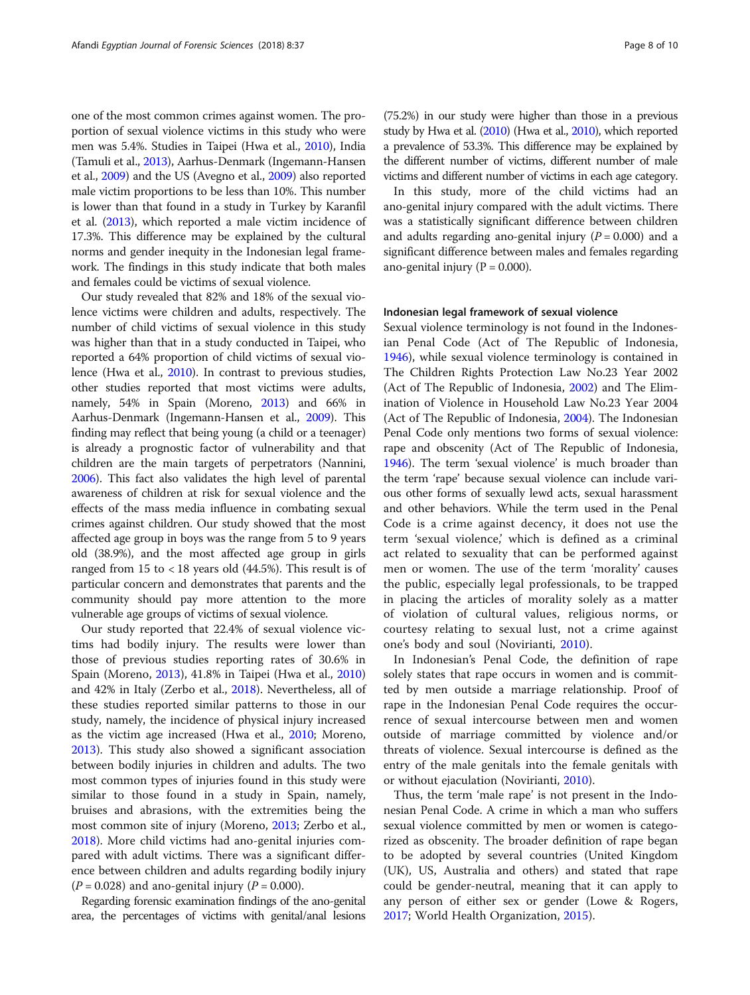one of the most common crimes against women. The proportion of sexual violence victims in this study who were men was 5.4%. Studies in Taipei (Hwa et al., [2010](#page-8-0)), India (Tamuli et al., [2013\)](#page-9-0), Aarhus-Denmark (Ingemann-Hansen et al., [2009\)](#page-9-0) and the US (Avegno et al., [2009](#page-8-0)) also reported male victim proportions to be less than 10%. This number is lower than that found in a study in Turkey by Karanfil et al. [\(2013\)](#page-9-0), which reported a male victim incidence of 17.3%. This difference may be explained by the cultural norms and gender inequity in the Indonesian legal framework. The findings in this study indicate that both males and females could be victims of sexual violence.

Our study revealed that 82% and 18% of the sexual violence victims were children and adults, respectively. The number of child victims of sexual violence in this study was higher than that in a study conducted in Taipei, who reported a 64% proportion of child victims of sexual violence (Hwa et al., [2010\)](#page-8-0). In contrast to previous studies, other studies reported that most victims were adults, namely, 54% in Spain (Moreno, [2013\)](#page-9-0) and 66% in Aarhus-Denmark (Ingemann-Hansen et al., [2009](#page-9-0)). This finding may reflect that being young (a child or a teenager) is already a prognostic factor of vulnerability and that children are the main targets of perpetrators (Nannini, [2006\)](#page-9-0). This fact also validates the high level of parental awareness of children at risk for sexual violence and the effects of the mass media influence in combating sexual crimes against children. Our study showed that the most affected age group in boys was the range from 5 to 9 years old (38.9%), and the most affected age group in girls ranged from  $15$  to  $<$  18 years old (44.5%). This result is of particular concern and demonstrates that parents and the community should pay more attention to the more vulnerable age groups of victims of sexual violence.

Our study reported that 22.4% of sexual violence victims had bodily injury. The results were lower than those of previous studies reporting rates of 30.6% in Spain (Moreno, [2013](#page-9-0)), 41.8% in Taipei (Hwa et al., [2010](#page-8-0)) and 42% in Italy (Zerbo et al., [2018](#page-9-0)). Nevertheless, all of these studies reported similar patterns to those in our study, namely, the incidence of physical injury increased as the victim age increased (Hwa et al., [2010](#page-8-0); Moreno, [2013](#page-9-0)). This study also showed a significant association between bodily injuries in children and adults. The two most common types of injuries found in this study were similar to those found in a study in Spain, namely, bruises and abrasions, with the extremities being the most common site of injury (Moreno, [2013;](#page-9-0) Zerbo et al., [2018](#page-9-0)). More child victims had ano-genital injuries compared with adult victims. There was a significant difference between children and adults regarding bodily injury  $(P = 0.028)$  and ano-genital injury  $(P = 0.000)$ .

Regarding forensic examination findings of the ano-genital area, the percentages of victims with genital/anal lesions

(75.2%) in our study were higher than those in a previous study by Hwa et al. [\(2010](#page-8-0)) (Hwa et al., [2010\)](#page-8-0), which reported a prevalence of 53.3%. This difference may be explained by the different number of victims, different number of male victims and different number of victims in each age category.

In this study, more of the child victims had an ano-genital injury compared with the adult victims. There was a statistically significant difference between children and adults regarding ano-genital injury ( $P = 0.000$ ) and a significant difference between males and females regarding ano-genital injury ( $P = 0.000$ ).

#### Indonesian legal framework of sexual violence

Sexual violence terminology is not found in the Indonesian Penal Code (Act of The Republic of Indonesia, [1946](#page-8-0)), while sexual violence terminology is contained in The Children Rights Protection Law No.23 Year 2002 (Act of The Republic of Indonesia, [2002\)](#page-8-0) and The Elimination of Violence in Household Law No.23 Year 2004 (Act of The Republic of Indonesia, [2004](#page-8-0)). The Indonesian Penal Code only mentions two forms of sexual violence: rape and obscenity (Act of The Republic of Indonesia, [1946](#page-8-0)). The term 'sexual violence' is much broader than the term 'rape' because sexual violence can include various other forms of sexually lewd acts, sexual harassment and other behaviors. While the term used in the Penal Code is a crime against decency, it does not use the term 'sexual violence,' which is defined as a criminal act related to sexuality that can be performed against men or women. The use of the term 'morality' causes the public, especially legal professionals, to be trapped in placing the articles of morality solely as a matter of violation of cultural values, religious norms, or courtesy relating to sexual lust, not a crime against one's body and soul (Novirianti, [2010](#page-9-0)).

In Indonesian's Penal Code, the definition of rape solely states that rape occurs in women and is committed by men outside a marriage relationship. Proof of rape in the Indonesian Penal Code requires the occurrence of sexual intercourse between men and women outside of marriage committed by violence and/or threats of violence. Sexual intercourse is defined as the entry of the male genitals into the female genitals with or without ejaculation (Novirianti, [2010](#page-9-0)).

Thus, the term 'male rape' is not present in the Indonesian Penal Code. A crime in which a man who suffers sexual violence committed by men or women is categorized as obscenity. The broader definition of rape began to be adopted by several countries (United Kingdom (UK), US, Australia and others) and stated that rape could be gender-neutral, meaning that it can apply to any person of either sex or gender (Lowe & Rogers, [2017](#page-9-0); World Health Organization, [2015](#page-9-0)).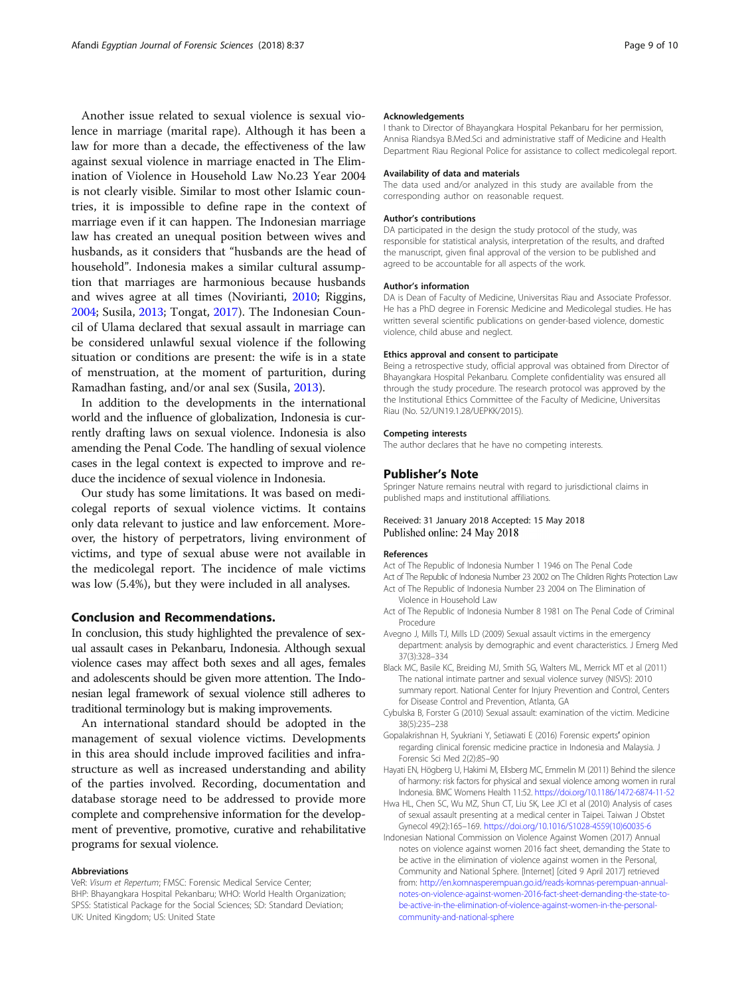<span id="page-8-0"></span>Another issue related to sexual violence is sexual violence in marriage (marital rape). Although it has been a law for more than a decade, the effectiveness of the law against sexual violence in marriage enacted in The Elimination of Violence in Household Law No.23 Year 2004 is not clearly visible. Similar to most other Islamic countries, it is impossible to define rape in the context of marriage even if it can happen. The Indonesian marriage law has created an unequal position between wives and husbands, as it considers that "husbands are the head of household". Indonesia makes a similar cultural assumption that marriages are harmonious because husbands and wives agree at all times (Novirianti, [2010;](#page-9-0) Riggins, [2004](#page-9-0); Susila, [2013;](#page-9-0) Tongat, [2017](#page-9-0)). The Indonesian Council of Ulama declared that sexual assault in marriage can be considered unlawful sexual violence if the following situation or conditions are present: the wife is in a state of menstruation, at the moment of parturition, during Ramadhan fasting, and/or anal sex (Susila, [2013](#page-9-0)).

In addition to the developments in the international world and the influence of globalization, Indonesia is currently drafting laws on sexual violence. Indonesia is also amending the Penal Code. The handling of sexual violence cases in the legal context is expected to improve and reduce the incidence of sexual violence in Indonesia.

Our study has some limitations. It was based on medicolegal reports of sexual violence victims. It contains only data relevant to justice and law enforcement. Moreover, the history of perpetrators, living environment of victims, and type of sexual abuse were not available in the medicolegal report. The incidence of male victims was low (5.4%), but they were included in all analyses.

#### Conclusion and Recommendations.

In conclusion, this study highlighted the prevalence of sexual assault cases in Pekanbaru, Indonesia. Although sexual violence cases may affect both sexes and all ages, females and adolescents should be given more attention. The Indonesian legal framework of sexual violence still adheres to traditional terminology but is making improvements.

An international standard should be adopted in the management of sexual violence victims. Developments in this area should include improved facilities and infrastructure as well as increased understanding and ability of the parties involved. Recording, documentation and database storage need to be addressed to provide more complete and comprehensive information for the development of preventive, promotive, curative and rehabilitative programs for sexual violence.

#### Abbreviations

VeR: Visum et Repertum; FMSC: Forensic Medical Service Center; BHP: Bhayangkara Hospital Pekanbaru; WHO: World Health Organization; SPSS: Statistical Package for the Social Sciences; SD: Standard Deviation; UK: United Kingdom; US: United State

#### Acknowledgements

I thank to Director of Bhayangkara Hospital Pekanbaru for her permission, Annisa Riandsya B.Med.Sci and administrative staff of Medicine and Health Department Riau Regional Police for assistance to collect medicolegal report.

#### Availability of data and materials

The data used and/or analyzed in this study are available from the corresponding author on reasonable request.

#### Author's contributions

DA participated in the design the study protocol of the study, was responsible for statistical analysis, interpretation of the results, and drafted the manuscript, given final approval of the version to be published and agreed to be accountable for all aspects of the work.

#### Author's information

DA is Dean of Faculty of Medicine, Universitas Riau and Associate Professor. He has a PhD degree in Forensic Medicine and Medicolegal studies. He has written several scientific publications on gender-based violence, domestic violence, child abuse and neglect.

#### Ethics approval and consent to participate

Being a retrospective study, official approval was obtained from Director of Bhayangkara Hospital Pekanbaru. Complete confidentiality was ensured all through the study procedure. The research protocol was approved by the the Institutional Ethics Committee of the Faculty of Medicine, Universitas Riau (No. 52/UN19.1.28/UEPKK/2015).

#### Competing interests

The author declares that he have no competing interests.

#### Publisher's Note

Springer Nature remains neutral with regard to jurisdictional claims in published maps and institutional affiliations.

#### Received: 31 January 2018 Accepted: 15 May 2018 Published online: 24 May 2018

#### References

- Act of The Republic of Indonesia Number 1 1946 on The Penal Code
- Act of The Republic of Indonesia Number 23 2002 on The Children Rights Protection Law Act of The Republic of Indonesia Number 23 2004 on The Elimination of
- Violence in Household Law
- Act of The Republic of Indonesia Number 8 1981 on The Penal Code of Criminal Procedure
- Avegno J, Mills TJ, Mills LD (2009) Sexual assault victims in the emergency department: analysis by demographic and event characteristics. J Emerg Med 37(3):328–334
- Black MC, Basile KC, Breiding MJ, Smith SG, Walters ML, Merrick MT et al (2011) The national intimate partner and sexual violence survey (NISVS): 2010 summary report. National Center for Injury Prevention and Control, Centers for Disease Control and Prevention, Atlanta, GA
- Cybulska B, Forster G (2010) Sexual assault: examination of the victim. Medicine 38(5):235–238
- Gopalakrishnan H, Syukriani Y, Setiawati E (2016) Forensic experts′ opinion regarding clinical forensic medicine practice in Indonesia and Malaysia. J Forensic Sci Med 2(2):85–90
- Hayati EN, Högberg U, Hakimi M, Ellsberg MC, Emmelin M (2011) Behind the silence of harmony: risk factors for physical and sexual violence among women in rural Indonesia. BMC Womens Health 11:52. <https://doi.org/10.1186/1472-6874-11-52>
- Hwa HL, Chen SC, Wu MZ, Shun CT, Liu SK, Lee JCI et al (2010) Analysis of cases of sexual assault presenting at a medical center in Taipei. Taiwan J Obstet Gynecol 49(2):165–169. [https://doi.org/10.1016/S1028-4559\(10\)60035-6](https://doi.org/10.1016/S1028-4559(10)60035-6)
- Indonesian National Commission on Violence Against Women (2017) Annual notes on violence against women 2016 fact sheet, demanding the State to be active in the elimination of violence against women in the Personal, Community and National Sphere. [Internet] [cited 9 April 2017] retrieved from: [http://en.komnasperempuan.go.id/reads-komnas-perempuan-annual](http://en.komnasperempuan.go.id/reads-komnas-perempuan-annual-notes-on-violence-against-women-2016-fact-sheet-demanding-the-state-to-be-active-in-the-elimination-of-violence-against-women-in-the-personal-community-and-national-sphere)[notes-on-violence-against-women-2016-fact-sheet-demanding-the-state-to](http://en.komnasperempuan.go.id/reads-komnas-perempuan-annual-notes-on-violence-against-women-2016-fact-sheet-demanding-the-state-to-be-active-in-the-elimination-of-violence-against-women-in-the-personal-community-and-national-sphere)[be-active-in-the-elimination-of-violence-against-women-in-the-personal](http://en.komnasperempuan.go.id/reads-komnas-perempuan-annual-notes-on-violence-against-women-2016-fact-sheet-demanding-the-state-to-be-active-in-the-elimination-of-violence-against-women-in-the-personal-community-and-national-sphere)[community-and-national-sphere](http://en.komnasperempuan.go.id/reads-komnas-perempuan-annual-notes-on-violence-against-women-2016-fact-sheet-demanding-the-state-to-be-active-in-the-elimination-of-violence-against-women-in-the-personal-community-and-national-sphere)